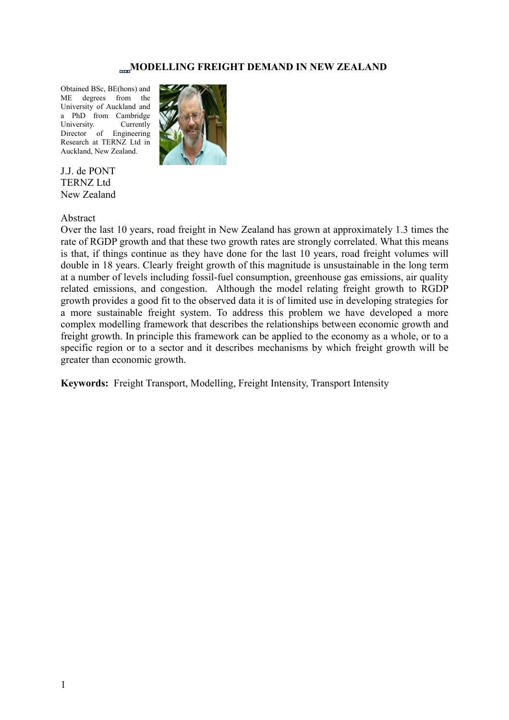# **MODELLING FREIGHT DEMAND IN NEW ZEALAND**

Obtained BSc, BE(hons) and ME degrees from the University of Auckland and a PhD from Cambridge University. Currently Director of Engineering Research at TERNZ Ltd in Auckland, New Zealand.



J.J. de PONT TERNZ Ltd New Zealand

#### Abstract

Over the last 10 years, road freight in New Zealand has grown at approximately 1.3 times the rate of RGDP growth and that these two growth rates are strongly correlated. What this means is that, if things continue as they have done for the last 10 years, road freight volumes will double in 18 years. Clearly freight growth of this magnitude is unsustainable in the long term at a number of levels including fossil-fuel consumption, greenhouse gas emissions, air quality related emissions, and congestion. Although the model relating freight growth to RGDP growth provides a good fit to the observed data it is of limited use in developing strategies for a more sustainable freight system. To address this problem we have developed a more complex modelling framework that describes the relationships between economic growth and freight growth. In principle this framework can be applied to the economy as a whole, or to a specific region or to a sector and it describes mechanisms by which freight growth will be greater than economic growth.

**Keywords:** Freight Transport, Modelling, Freight Intensity, Transport Intensity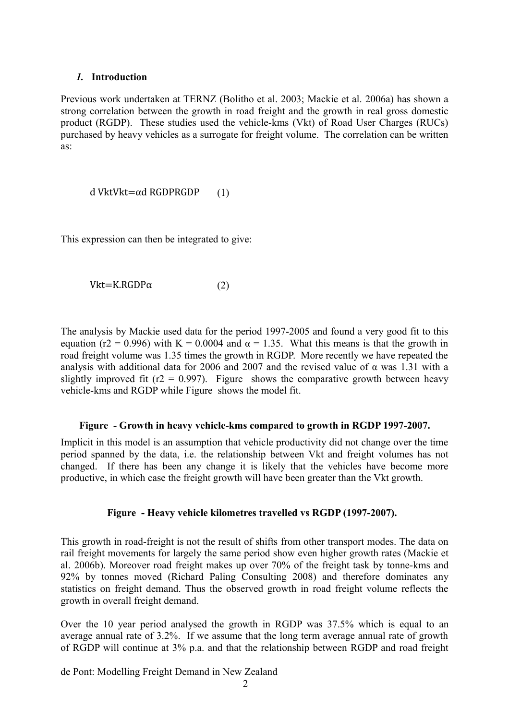#### *1.* **Introduction**

Previous work undertaken at TERNZ (Bolitho et al. 2003; Mackie et al. 2006a) has shown a strong correlation between the growth in road freight and the growth in real gross domestic product (RGDP). These studies used the vehicle-kms (Vkt) of Road User Charges (RUCs) purchased by heavy vehicles as a surrogate for freight volume. The correlation can be written as:

d VktVkt= $\alpha$ d RGDPRGDP (1)

This expression can then be integrated to give:

Vkt=K.RGDP $\alpha$  (2)

The analysis by Mackie used data for the period 1997-2005 and found a very good fit to this equation (r2 = 0.996) with K = 0.0004 and  $\alpha$  = 1.35. What this means is that the growth in road freight volume was 1.35 times the growth in RGDP. More recently we have repeated the analysis with additional data for 2006 and 2007 and the revised value of  $\alpha$  was 1.31 with a slightly improved fit ( $r2 = 0.997$ ). [Figure](#page-1-0) shows the comparative growth between heavy vehicle-kms and RGDP while [Figure](#page-1-1) shows the model fit.

#### <span id="page-1-0"></span>**Figure - Growth in heavy vehicle-kms compared to growth in RGDP 1997-2007.**

Implicit in this model is an assumption that vehicle productivity did not change over the time period spanned by the data, i.e. the relationship between Vkt and freight volumes has not changed. If there has been any change it is likely that the vehicles have become more productive, in which case the freight growth will have been greater than the Vkt growth.

### <span id="page-1-1"></span>**Figure - Heavy vehicle kilometres travelled vs RGDP (1997-2007).**

This growth in road-freight is not the result of shifts from other transport modes. The data on rail freight movements for largely the same period show even higher growth rates (Mackie et al. 2006b). Moreover road freight makes up over 70% of the freight task by tonne-kms and 92% by tonnes moved (Richard Paling Consulting 2008) and therefore dominates any statistics on freight demand. Thus the observed growth in road freight volume reflects the growth in overall freight demand.

Over the 10 year period analysed the growth in RGDP was 37.5% which is equal to an average annual rate of 3.2%. If we assume that the long term average annual rate of growth of RGDP will continue at 3% p.a. and that the relationship between RGDP and road freight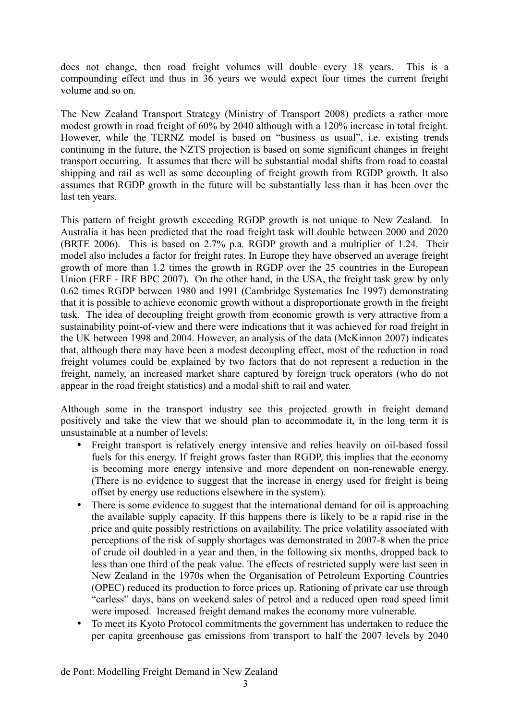does not change, then road freight volumes will double every 18 years. This is a compounding effect and thus in 36 years we would expect four times the current freight volume and so on.

The New Zealand Transport Strategy (Ministry of Transport 2008) predicts a rather more modest growth in road freight of 60% by 2040 although with a 120% increase in total freight. However, while the TERNZ model is based on "business as usual", i.e. existing trends continuing in the future, the NZTS projection is based on some significant changes in freight transport occurring. It assumes that there will be substantial modal shifts from road to coastal shipping and rail as well as some decoupling of freight growth from RGDP growth. It also assumes that RGDP growth in the future will be substantially less than it has been over the last ten years.

This pattern of freight growth exceeding RGDP growth is not unique to New Zealand. In Australia it has been predicted that the road freight task will double between 2000 and 2020 (BRTE 2006). This is based on 2.7% p.a. RGDP growth and a multiplier of 1.24. Their model also includes a factor for freight rates. In Europe they have observed an average freight growth of more than 1.2 times the growth in RGDP over the 25 countries in the European Union (ERF - IRF BPC 2007). On the other hand, in the USA, the freight task grew by only 0.62 times RGDP between 1980 and 1991 (Cambridge Systematics Inc 1997) demonstrating that it is possible to achieve economic growth without a disproportionate growth in the freight task. The idea of decoupling freight growth from economic growth is very attractive from a sustainability point-of-view and there were indications that it was achieved for road freight in the UK between 1998 and 2004. However, an analysis of the data (McKinnon 2007) indicates that, although there may have been a modest decoupling effect, most of the reduction in road freight volumes could be explained by two factors that do not represent a reduction in the freight, namely, an increased market share captured by foreign truck operators (who do not appear in the road freight statistics) and a modal shift to rail and water.

Although some in the transport industry see this projected growth in freight demand positively and take the view that we should plan to accommodate it, in the long term it is unsustainable at a number of levels:

- Freight transport is relatively energy intensive and relies heavily on oil-based fossil fuels for this energy. If freight grows faster than RGDP, this implies that the economy is becoming more energy intensive and more dependent on non-renewable energy. (There is no evidence to suggest that the increase in energy used for freight is being offset by energy use reductions elsewhere in the system).
- There is some evidence to suggest that the international demand for oil is approaching the available supply capacity. If this happens there is likely to be a rapid rise in the price and quite possibly restrictions on availability. The price volatility associated with perceptions of the risk of supply shortages was demonstrated in 2007-8 when the price of crude oil doubled in a year and then, in the following six months, dropped back to less than one third of the peak value. The effects of restricted supply were last seen in New Zealand in the 1970s when the Organisation of Petroleum Exporting Countries (OPEC) reduced its production to force prices up. Rationing of private car use through "carless" days, bans on weekend sales of petrol and a reduced open road speed limit were imposed. Increased freight demand makes the economy more vulnerable.
- To meet its Kyoto Protocol commitments the government has undertaken to reduce the per capita greenhouse gas emissions from transport to half the 2007 levels by 2040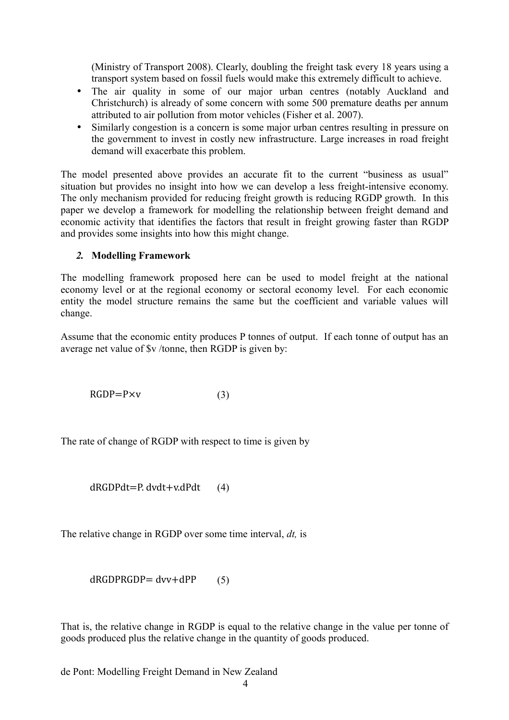(Ministry of Transport 2008). Clearly, doubling the freight task every 18 years using a transport system based on fossil fuels would make this extremely difficult to achieve.

- The air quality in some of our major urban centres (notably Auckland and Christchurch) is already of some concern with some 500 premature deaths per annum attributed to air pollution from motor vehicles (Fisher et al. 2007).
- Similarly congestion is a concern is some major urban centres resulting in pressure on the government to invest in costly new infrastructure. Large increases in road freight demand will exacerbate this problem.

The model presented above provides an accurate fit to the current "business as usual" situation but provides no insight into how we can develop a less freight-intensive economy. The only mechanism provided for reducing freight growth is reducing RGDP growth. In this paper we develop a framework for modelling the relationship between freight demand and economic activity that identifies the factors that result in freight growing faster than RGDP and provides some insights into how this might change.

# *2.* **Modelling Framework**

The modelling framework proposed here can be used to model freight at the national economy level or at the regional economy or sectoral economy level. For each economic entity the model structure remains the same but the coefficient and variable values will change.

Assume that the economic entity produces P tonnes of output. If each tonne of output has an average net value of \$v /tonne, then RGDP is given by:

 $RGDP = P \times v$  (3)

The rate of change of RGDP with respect to time is given by

 $dRGDPdt = P. dvdt + v. dPdt$  (4)

The relative change in RGDP over some time interval, *dt,* is

 $dRGDPRGDP = dvv + dPP$  (5)

That is, the relative change in RGDP is equal to the relative change in the value per tonne of goods produced plus the relative change in the quantity of goods produced.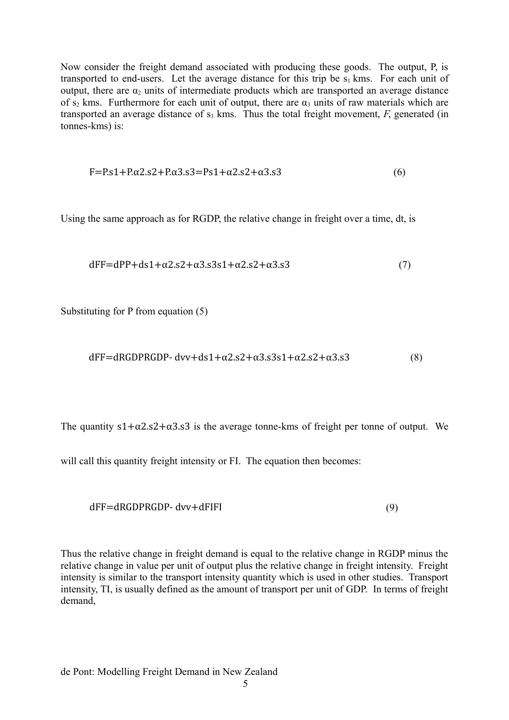Now consider the freight demand associated with producing these goods. The output, P, is transported to end-users. Let the average distance for this trip be  $s_1$  kms. For each unit of output, there are  $\alpha_2$  units of intermediate products which are transported an average distance of s<sub>2</sub> kms. Furthermore for each unit of output, there are  $\alpha_3$  units of raw materials which are transported an average distance of  $s_3$  kms. Thus the total freight movement,  $F$ , generated (in tonnes-kms) is:

$$
F = P \cdot s1 + P \cdot \alpha 2 \cdot s2 + P \cdot \alpha 3 \cdot s3 = P \cdot s1 + \alpha 2 \cdot s2 + \alpha 3 \cdot s3 \tag{6}
$$

Using the same approach as for RGDP, the relative change in freight over a time, dt, is

$$
dFF=dPP+ds1+\alpha2.s2+\alpha3.s3s1+\alpha2.s2+\alpha3.s3
$$
\n(7)

Substituting for P from equation (5)

$$
dFF = dRGDPRGDP - dvv + ds1 + \alpha2 \cdot s2 + \alpha3 \cdot s3s1 + \alpha2 \cdot s2 + \alpha3 \cdot s3
$$
 (8)

The quantity  $s1+\alpha2 \cdot s2+\alpha3 \cdot s3$  is the average tonne-kms of freight per tonne of output. We

will call this quantity freight intensity or FI. The equation then becomes:

$$
dFF = dRGDPRGDP - dvv + dFIFI
$$
\n(9)

Thus the relative change in freight demand is equal to the relative change in RGDP minus the relative change in value per unit of output plus the relative change in freight intensity. Freight intensity is similar to the transport intensity quantity which is used in other studies. Transport intensity, TI, is usually defined as the amount of transport per unit of GDP. In terms of freight demand,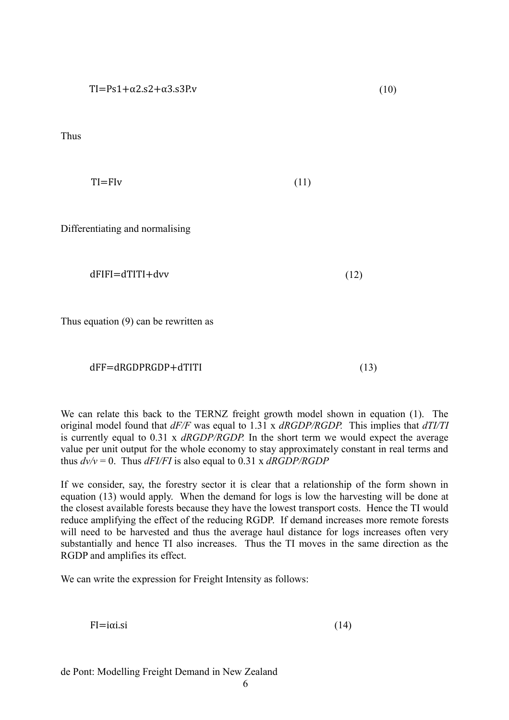Thus

$$
TI = Fly \tag{11}
$$

Differentiating and normalising

$$
dFIFI = dTITI + dvv
$$
 (12)

Thus equation (9) can be rewritten as

### dFF=dRGDPRGDP+dTITI (13)

We can relate this back to the TERNZ freight growth model shown in equation (1). The original model found that *dF/F* was equal to 1.31 x *dRGDP/RGDP.* This implies that *dTI/TI* is currently equal to 0.31 x *dRGDP/RGDP.* In the short term we would expect the average value per unit output for the whole economy to stay approximately constant in real terms and thus  $dv/v = 0$ . Thus  $dFI/FI$  is also equal to 0.31 x  $dRGDP/RGDP$ 

If we consider, say, the forestry sector it is clear that a relationship of the form shown in equation (13) would apply. When the demand for logs is low the harvesting will be done at the closest available forests because they have the lowest transport costs. Hence the TI would reduce amplifying the effect of the reducing RGDP. If demand increases more remote forests will need to be harvested and thus the average haul distance for logs increases often very substantially and hence TI also increases. Thus the TI moves in the same direction as the RGDP and amplifies its effect.

We can write the expression for Freight Intensity as follows:

 $FI=i\alpha i$ .si (14)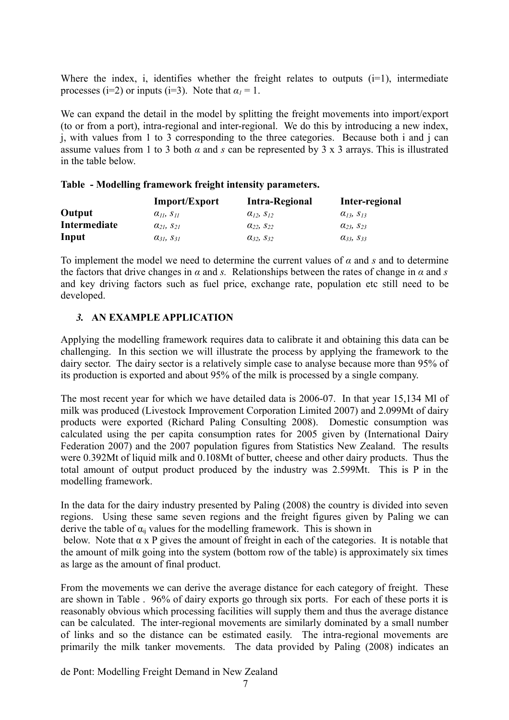Where the index, i, identifies whether the freight relates to outputs  $(i=1)$ , intermediate processes (i=2) or inputs (i=3). Note that  $\alpha_1 = 1$ .

We can expand the detail in the model by splitting the freight movements into import/export (to or from a port), intra-regional and inter-regional. We do this by introducing a new index, j, with values from 1 to 3 corresponding to the three categories. Because both i and j can assume values from 1 to 3 both  $\alpha$  and  $s$  can be represented by 3 x 3 arrays. This is illustrated in the table below.

|  |  |  |  |  | Table - Modelling framework freight intensity parameters. |
|--|--|--|--|--|-----------------------------------------------------------|
|--|--|--|--|--|-----------------------------------------------------------|

|              | <b>Import/Export</b>     | <b>Intra-Regional</b>    | Inter-regional           |
|--------------|--------------------------|--------------------------|--------------------------|
| Output       | $\alpha_{II}$ , $S_{II}$ | $\alpha_{12}$ , $S_{12}$ | $\alpha_{13}, s_{13}$    |
| Intermediate | $a_{21}$ , $S_{21}$      | $\alpha_{22}, s_{22}$    | $\alpha_{23}, \, S_{23}$ |
| Input        | $\alpha_{31}$ , $S_{31}$ | $\alpha_{32}, s_{32}$    | $\alpha_{33}, s_{33}$    |

To implement the model we need to determine the current values of  $\alpha$  and  $\beta$  and to determine the factors that drive changes in  $\alpha$  and *s*. Relationships between the rates of change in  $\alpha$  and *s* and key driving factors such as fuel price, exchange rate, population etc still need to be developed

# *3.* **AN EXAMPLE APPLICATION**

Applying the modelling framework requires data to calibrate it and obtaining this data can be challenging. In this section we will illustrate the process by applying the framework to the dairy sector. The dairy sector is a relatively simple case to analyse because more than 95% of its production is exported and about 95% of the milk is processed by a single company.

The most recent year for which we have detailed data is 2006-07. In that year 15,134 Ml of milk was produced (Livestock Improvement Corporation Limited 2007) and 2.099Mt of dairy products were exported (Richard Paling Consulting 2008). Domestic consumption was calculated using the per capita consumption rates for 2005 given by (International Dairy Federation 2007) and the 2007 population figures from Statistics New Zealand. The results were 0.392Mt of liquid milk and 0.108Mt of butter, cheese and other dairy products. Thus the total amount of output product produced by the industry was 2.599Mt. This is P in the modelling framework.

In the data for the dairy industry presented by Paling (2008) the country is divided into seven regions. Using these same seven regions and the freight figures given by Paling we can derive the table of  $\alpha_{ii}$  values for the modelling framework. This is shown in

below.Note that  $\alpha$  x P gives the amount of freight in each of the categories. It is notable that the amount of milk going into the system (bottom row of the table) is approximately six times as large as the amount of final product.

From the movements we can derive the average distance for each category of freight. These are shown in [Table .](#page-7-0) 96% of dairy exports go through six ports. For each of these ports it is reasonably obvious which processing facilities will supply them and thus the average distance can be calculated. The inter-regional movements are similarly dominated by a small number of links and so the distance can be estimated easily. The intra-regional movements are primarily the milk tanker movements. The data provided by Paling (2008) indicates an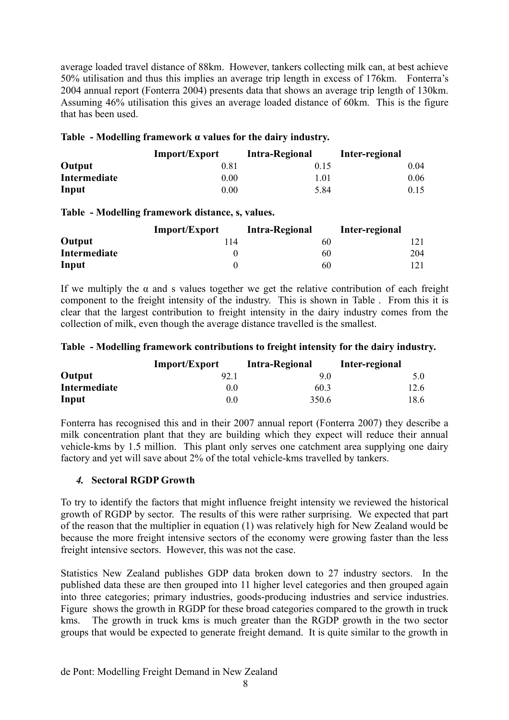average loaded travel distance of 88km. However, tankers collecting milk can, at best achieve 50% utilisation and thus this implies an average trip length in excess of 176km. Fonterra's 2004 annual report (Fonterra 2004) presents data that shows an average trip length of 130km. Assuming 46% utilisation this gives an average loaded distance of 60km. This is the figure that has been used.

### <span id="page-7-1"></span>**Table - Modelling framework α values for the dairy industry.**

|              | <b>Import/Export</b> | Intra-Regional | Inter-regional |
|--------------|----------------------|----------------|----------------|
| Output       | 0.81                 | 0.15           | 0.04           |
| Intermediate | 0.00                 | 1.01           | 0.06           |
| Input        | $0.00\,$             | 5.84           | 0.15           |

## <span id="page-7-0"></span>**Table - Modelling framework distance, s, values.**

|              | Import/Export | <b>Intra-Regional</b> | Inter-regional |
|--------------|---------------|-----------------------|----------------|
| Output       | 114           | 60                    |                |
| Intermediate |               | 60                    | 204            |
| Input        |               | 60                    |                |

If we multiply the  $\alpha$  and s values together we get the relative contribution of each freight component to the freight intensity of the industry. This is shown in [Table .](#page-7-2) From this it is clear that the largest contribution to freight intensity in the dairy industry comes from the collection of milk, even though the average distance travelled is the smallest.

### <span id="page-7-2"></span>**Table - Modelling framework contributions to freight intensity for the dairy industry.**

|              | <b>Import/Export</b> | <b>Intra-Regional</b> | Inter-regional |
|--------------|----------------------|-----------------------|----------------|
| Output       | 92.1                 | 90                    |                |
| Intermediate | 00                   | 60.3                  | 12.6           |
| Input        | 00                   | 350.6                 | 18.6           |

Fonterra has recognised this and in their 2007 annual report (Fonterra 2007) they describe a milk concentration plant that they are building which they expect will reduce their annual vehicle-kms by 1.5 million. This plant only serves one catchment area supplying one dairy factory and yet will save about 2% of the total vehicle-kms travelled by tankers.

### *4.* **Sectoral RGDP Growth**

To try to identify the factors that might influence freight intensity we reviewed the historical growth of RGDP by sector. The results of this were rather surprising. We expected that part of the reason that the multiplier in equation (1) was relatively high for New Zealand would be because the more freight intensive sectors of the economy were growing faster than the less freight intensive sectors. However, this was not the case.

Statistics New Zealand publishes GDP data broken down to 27 industry sectors. In the published data these are then grouped into 11 higher level categories and then grouped again into three categories; primary industries, goods-producing industries and service industries. [Figure](#page-8-0) shows the growth in RGDP for these broad categories compared to the growth in truck kms. The growth in truck kms is much greater than the RGDP growth in the two sector groups that would be expected to generate freight demand. It is quite similar to the growth in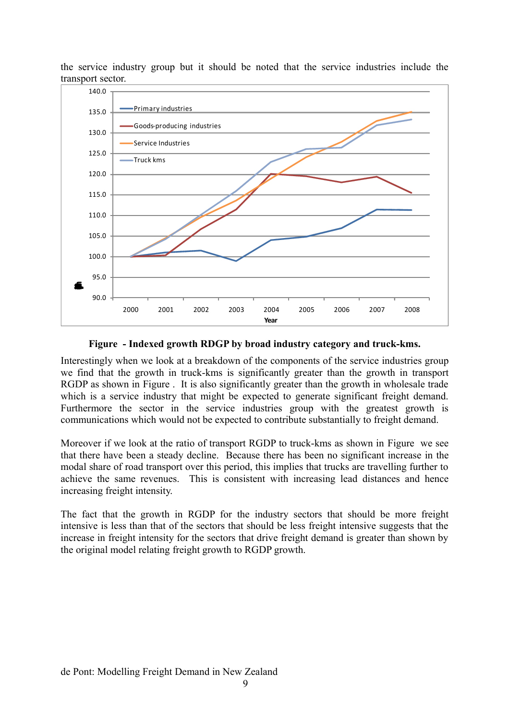the service industry group but it should be noted that the service industries include the transport sector.



### <span id="page-8-0"></span>**Figure - Indexed growth RDGP by broad industry category and truck-kms.**

Interestingly when we look at a breakdown of the components of the service industries group we find that the growth in truck-kms is significantly greater than the growth in transport RGDP as shown in [Figure .](#page-9-1) It is also significantly greater than the growth in wholesale trade which is a service industry that might be expected to generate significant freight demand. Furthermore the sector in the service industries group with the greatest growth is communications which would not be expected to contribute substantially to freight demand.

Moreover if we look at the ratio of transport RGDP to truck-kms as shown in [Figure](#page-9-0) we see that there have been a steady decline. Because there has been no significant increase in the modal share of road transport over this period, this implies that trucks are travelling further to achieve the same revenues. This is consistent with increasing lead distances and hence increasing freight intensity.

The fact that the growth in RGDP for the industry sectors that should be more freight intensive is less than that of the sectors that should be less freight intensive suggests that the increase in freight intensity for the sectors that drive freight demand is greater than shown by the original model relating freight growth to RGDP growth.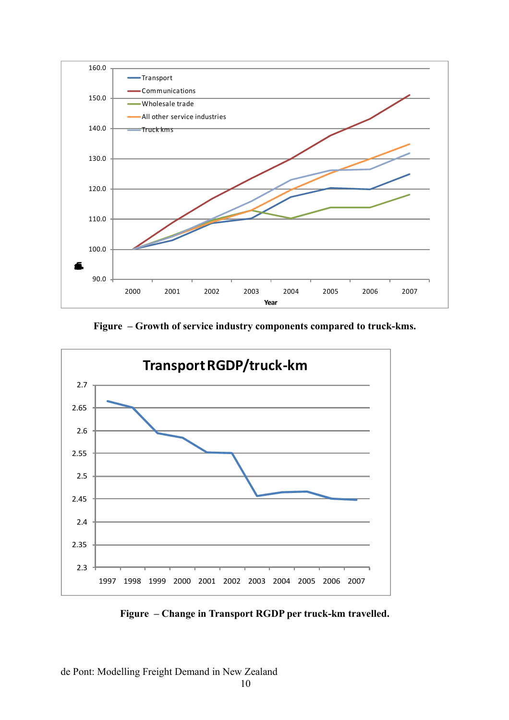

<span id="page-9-1"></span>**Figure – Growth of service industry components compared to truck-kms.**



<span id="page-9-0"></span>**Figure – Change in Transport RGDP per truck-km travelled.**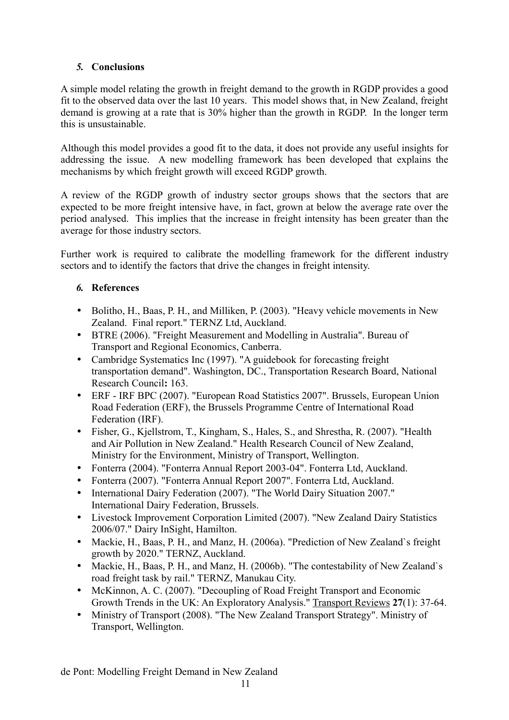# *5.* **Conclusions**

A simple model relating the growth in freight demand to the growth in RGDP provides a good fit to the observed data over the last 10 years. This model shows that, in New Zealand, freight demand is growing at a rate that is 30% higher than the growth in RGDP. In the longer term this is unsustainable.

Although this model provides a good fit to the data, it does not provide any useful insights for addressing the issue. A new modelling framework has been developed that explains the mechanisms by which freight growth will exceed RGDP growth.

A review of the RGDP growth of industry sector groups shows that the sectors that are expected to be more freight intensive have, in fact, grown at below the average rate over the period analysed. This implies that the increase in freight intensity has been greater than the average for those industry sectors.

Further work is required to calibrate the modelling framework for the different industry sectors and to identify the factors that drive the changes in freight intensity.

# *6.* **References**

- Bolitho, H., Baas, P. H., and Milliken, P. (2003). "Heavy vehicle movements in New Zealand. Final report." TERNZ Ltd, Auckland.
- BTRE (2006). "Freight Measurement and Modelling in Australia". Bureau of Transport and Regional Economics, Canberra.
- Cambridge Systematics Inc (1997). "A guidebook for forecasting freight transportation demand". Washington, DC., Transportation Research Board, National Research Council**:** 163.
- ERF IRF BPC (2007). "European Road Statistics 2007". Brussels, European Union Road Federation (ERF), the Brussels Programme Centre of International Road Federation (IRF).
- Fisher, G., Kjellstrom, T., Kingham, S., Hales, S., and Shrestha, R. (2007). "Health and Air Pollution in New Zealand." Health Research Council of New Zealand, Ministry for the Environment, Ministry of Transport, Wellington.
- Fonterra (2004). "Fonterra Annual Report 2003-04". Fonterra Ltd, Auckland.
- Fonterra (2007). "Fonterra Annual Report 2007". Fonterra Ltd, Auckland.
- International Dairy Federation (2007). "The World Dairy Situation 2007." International Dairy Federation, Brussels.
- Livestock Improvement Corporation Limited (2007). "New Zealand Dairy Statistics 2006/07." Dairy InSight, Hamilton.
- Mackie, H., Baas, P. H., and Manz, H. (2006a). "Prediction of New Zealand`s freight growth by 2020." TERNZ, Auckland.
- Mackie, H., Baas, P. H., and Manz, H. (2006b). "The contestability of New Zealand`s road freight task by rail." TERNZ, Manukau City.
- McKinnon, A. C. (2007). "Decoupling of Road Freight Transport and Economic Growth Trends in the UK: An Exploratory Analysis." Transport Reviews **27**(1): 37-64.
- Ministry of Transport (2008). "The New Zealand Transport Strategy". Ministry of Transport, Wellington.